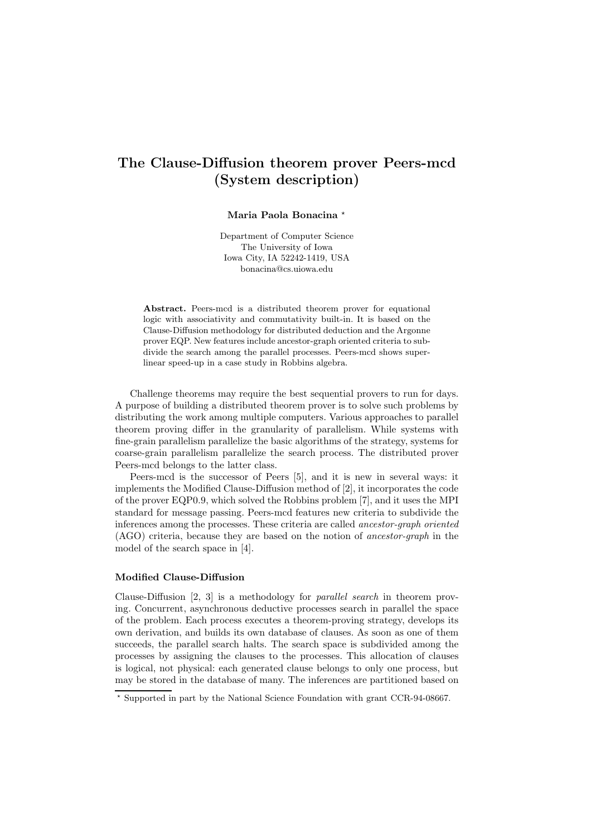# The Clause-Diffusion theorem prover Peers-mcd (System description)

### Maria Paola Bonacina \*

Department of Computer Science The University of Iowa Iowa City, IA 52242-1419, USA bonacina@cs.uiowa.edu

Abstract. Peers-mcd is a distributed theorem prover for equational logic with associativity and commutativity built-in. It is based on the Clause-Diffusion methodology for distributed deduction and the Argonne prover EQP. New features include ancestor-graph oriented criteria to subdivide the search among the parallel processes. Peers-mcd shows superlinear speed-up in a case study in Robbins algebra.

Challenge theorems may require the best sequential provers to run for days. A purpose of building a distributed theorem prover is to solve such problems by distributing the work among multiple computers. Various approaches to parallel theorem proving differ in the granularity of parallelism. While systems with fine-grain parallelism parallelize the basic algorithms of the strategy, systems for coarse-grain parallelism parallelize the search process. The distributed prover Peers-mcd belongs to the latter class.

Peers-mcd is the successor of Peers [5], and it is new in several ways: it implements the Modified Clause-Diffusion method of [2], it incorporates the code of the prover EQP0.9, which solved the Robbins problem [7], and it uses the MPI standard for message passing. Peers-mcd features new criteria to subdivide the inferences among the processes. These criteria are called ancestor-graph oriented (AGO) criteria, because they are based on the notion of ancestor-graph in the model of the search space in [4].

#### Modified Clause-Diffusion

Clause-Diffusion [2, 3] is a methodology for parallel search in theorem proving. Concurrent, asynchronous deductive processes search in parallel the space of the problem. Each process executes a theorem-proving strategy, develops its own derivation, and builds its own database of clauses. As soon as one of them succeeds, the parallel search halts. The search space is subdivided among the processes by assigning the clauses to the processes. This allocation of clauses is logical, not physical: each generated clause belongs to only one process, but may be stored in the database of many. The inferences are partitioned based on

<sup>⋆</sup> Supported in part by the National Science Foundation with grant CCR-94-08667.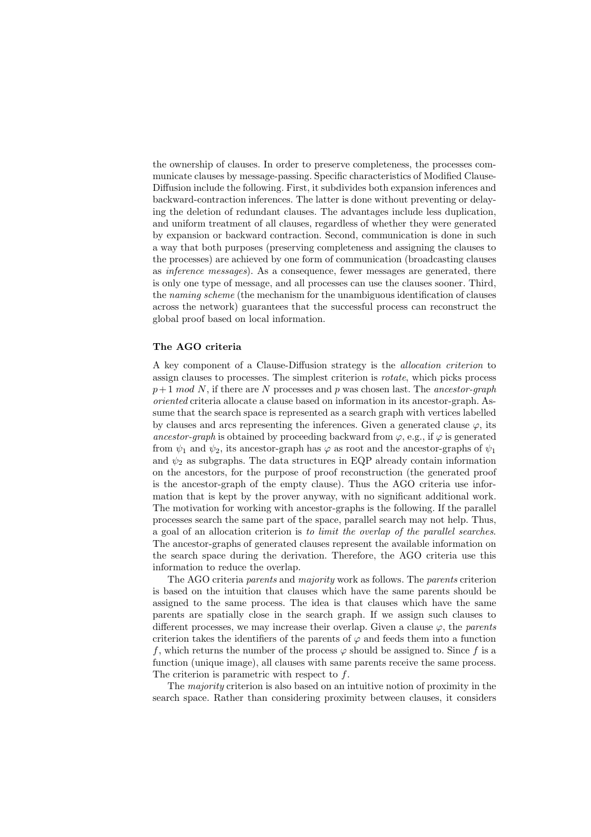the ownership of clauses. In order to preserve completeness, the processes communicate clauses by message-passing. Specific characteristics of Modified Clause-Diffusion include the following. First, it subdivides both expansion inferences and backward-contraction inferences. The latter is done without preventing or delaying the deletion of redundant clauses. The advantages include less duplication, and uniform treatment of all clauses, regardless of whether they were generated by expansion or backward contraction. Second, communication is done in such a way that both purposes (preserving completeness and assigning the clauses to the processes) are achieved by one form of communication (broadcasting clauses as inference messages). As a consequence, fewer messages are generated, there is only one type of message, and all processes can use the clauses sooner. Third, the naming scheme (the mechanism for the unambiguous identification of clauses across the network) guarantees that the successful process can reconstruct the global proof based on local information.

#### The AGO criteria

A key component of a Clause-Diffusion strategy is the allocation criterion to assign clauses to processes. The simplest criterion is rotate, which picks process  $p+1 \mod N$ , if there are N processes and p was chosen last. The ancestor-graph oriented criteria allocate a clause based on information in its ancestor-graph. Assume that the search space is represented as a search graph with vertices labelled by clauses and arcs representing the inferences. Given a generated clause  $\varphi$ , its ancestor-graph is obtained by proceeding backward from  $\varphi$ , e.g., if  $\varphi$  is generated from  $\psi_1$  and  $\psi_2$ , its ancestor-graph has  $\varphi$  as root and the ancestor-graphs of  $\psi_1$ and  $\psi_2$  as subgraphs. The data structures in EQP already contain information on the ancestors, for the purpose of proof reconstruction (the generated proof is the ancestor-graph of the empty clause). Thus the AGO criteria use information that is kept by the prover anyway, with no significant additional work. The motivation for working with ancestor-graphs is the following. If the parallel processes search the same part of the space, parallel search may not help. Thus, a goal of an allocation criterion is to limit the overlap of the parallel searches. The ancestor-graphs of generated clauses represent the available information on the search space during the derivation. Therefore, the AGO criteria use this information to reduce the overlap.

The AGO criteria parents and majority work as follows. The parents criterion is based on the intuition that clauses which have the same parents should be assigned to the same process. The idea is that clauses which have the same parents are spatially close in the search graph. If we assign such clauses to different processes, we may increase their overlap. Given a clause  $\varphi$ , the parents criterion takes the identifiers of the parents of  $\varphi$  and feeds them into a function f, which returns the number of the process  $\varphi$  should be assigned to. Since f is a function (unique image), all clauses with same parents receive the same process. The criterion is parametric with respect to f.

The majority criterion is also based on an intuitive notion of proximity in the search space. Rather than considering proximity between clauses, it considers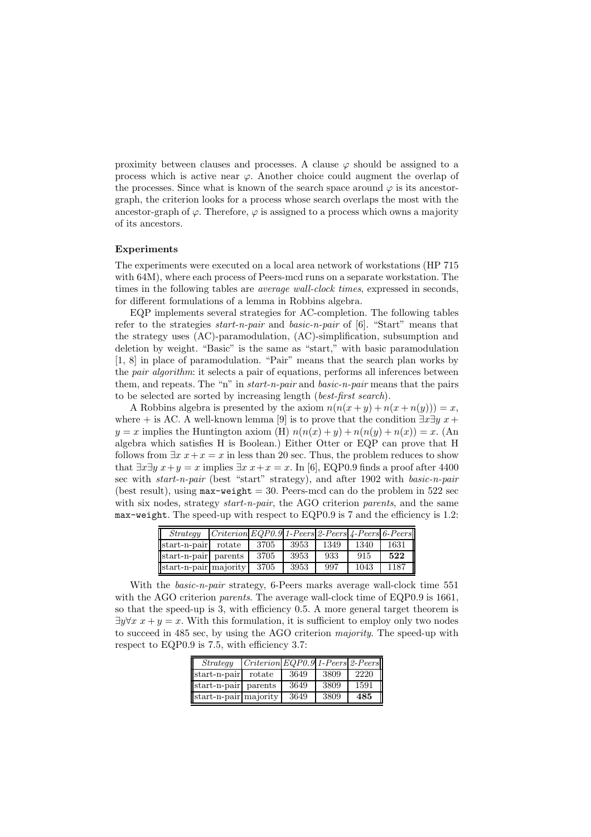proximity between clauses and processes. A clause  $\varphi$  should be assigned to a process which is active near  $\varphi$ . Another choice could augment the overlap of the processes. Since what is known of the search space around  $\varphi$  is its ancestorgraph, the criterion looks for a process whose search overlaps the most with the ancestor-graph of  $\varphi$ . Therefore,  $\varphi$  is assigned to a process which owns a majority of its ancestors.

#### Experiments

The experiments were executed on a local area network of workstations (HP 715 with 64M), where each process of Peers-mcd runs on a separate workstation. The times in the following tables are *average wall-clock times*, expressed in seconds, for different formulations of a lemma in Robbins algebra.

EQP implements several strategies for AC-completion. The following tables refer to the strategies start-n-pair and basic-n-pair of [6]. "Start" means that the strategy uses (AC)-paramodulation, (AC)-simplification, subsumption and deletion by weight. "Basic" is the same as "start," with basic paramodulation [1, 8] in place of paramodulation. "Pair" means that the search plan works by the pair algorithm: it selects a pair of equations, performs all inferences between them, and repeats. The "n" in start-n-pair and basic-n-pair means that the pairs to be selected are sorted by increasing length (best-first search).

A Robbins algebra is presented by the axiom  $n(n(x + y) + n(x + n(y))) = x$ , where + is AC. A well-known lemma [9] is to prove that the condition  $\exists x \exists y \ x +$  $y = x$  implies the Huntington axiom (H)  $n(n(x) + y) + n(n(y) + n(x)) = x$ . (An algebra which satisfies H is Boolean.) Either Otter or EQP can prove that H follows from  $\exists x \ x + x = x$  in less than 20 sec. Thus, the problem reduces to show that  $\exists x \exists y \ x+y=x$  implies  $\exists x \ x+x=x$ . In [6], EQP0.9 finds a proof after 4400 sec with *start-n-pair* (best "start" strategy), and after 1902 with *basic-n-pair* (best result), using  $max-weight = 30$ . Peers-mcd can do the problem in 522 sec with six nodes, strategy *start-n-pair*, the AGO criterion *parents*, and the same max-weight. The speed-up with respect to EQP0.9 is 7 and the efficiency is 1.2:

| Strategy              | $ Criterion EQP0.9 1-Peers 2-Peers 4-Peers 6-Peers $ |      |      |      |      |      |
|-----------------------|------------------------------------------------------|------|------|------|------|------|
| start-n-pair          | rotate                                               | 3705 | 3953 | 1349 | 1340 | 1631 |
| start-n-pair parents  |                                                      | 3705 | 3953 | 933  | 915  | 522  |
| start-n-pair majority |                                                      | 3705 | 3953 | 997  | 1043 | 1187 |

With the *basic-n-pair* strategy, 6-Peers marks average wall-clock time 551 with the AGO criterion parents. The average wall-clock time of EQP0.9 is 1661, so that the speed-up is 3, with efficiency 0.5. A more general target theorem is  $\exists y \forall x \ x + y = x$ . With this formulation, it is sufficient to employ only two nodes to succeed in 485 sec, by using the AGO criterion majority. The speed-up with respect to EQP0.9 is 7.5, with efficiency 3.7:

| Strategy              | $\lfloor \text{Criterion} \rfloor$ EQP0.9 1-Peers 2-Peers |      |      |      |
|-----------------------|-----------------------------------------------------------|------|------|------|
| start-n-pair          | rotate                                                    | 3649 | 3809 | 2220 |
| start-n-pair parents  |                                                           | 3649 | 3809 | 1591 |
| start-n-pair majority |                                                           | 3649 | 3809 | 485  |